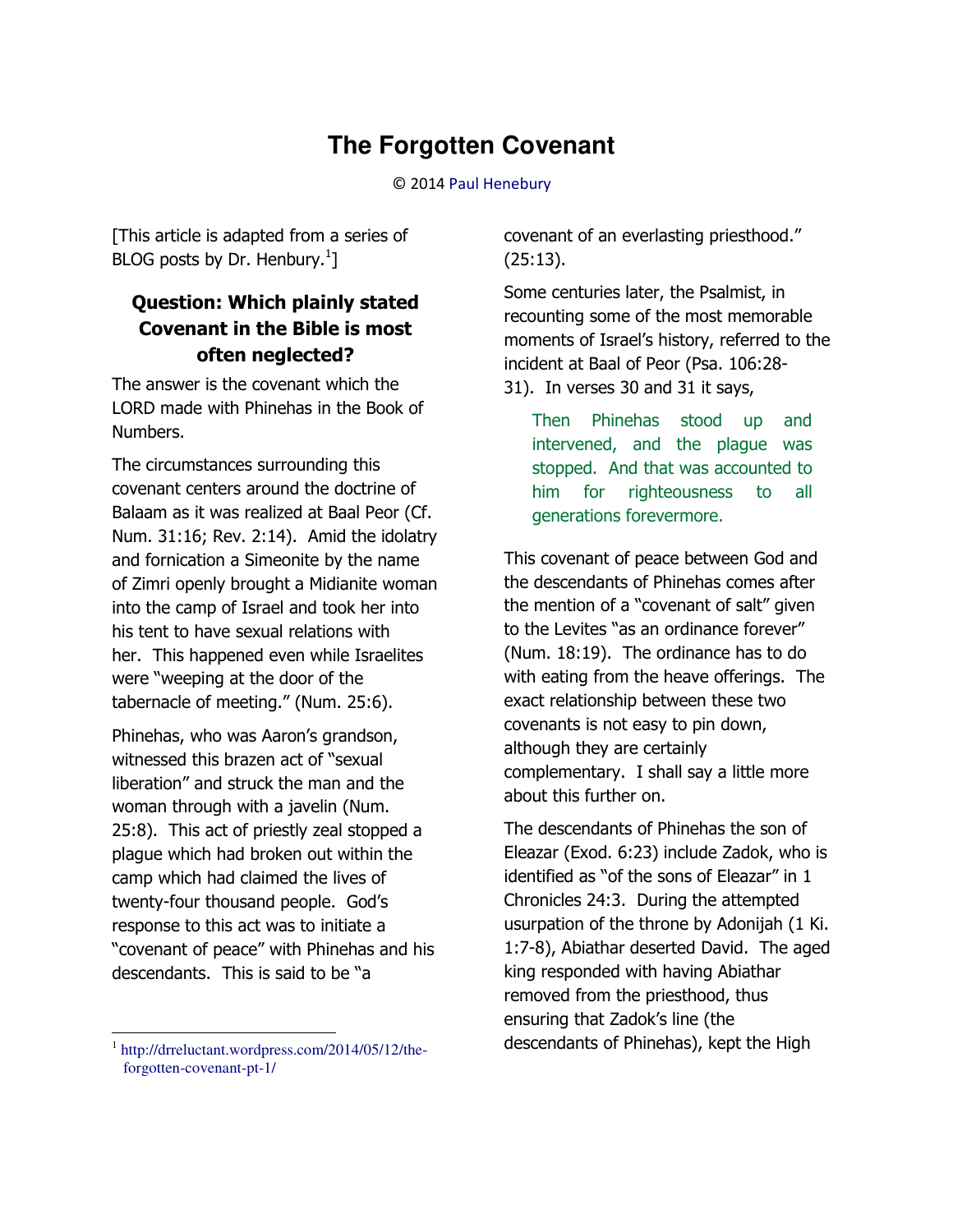# **The Forgotten Covenant**

© 201[4 Paul Henebury](http://www.spiritandtruth.org/id/ph.htm) 

[This article is adapted from a series of BLOG posts by Dr. Henbury. $^{1}$ ]

## **Question: Which plainly stated Covenant in the Bible is most often neglected?**

The answer is the covenant which the LORD made with Phinehas in the Book of Numbers.

The circumstances surrounding this covenant centers around the doctrine of Balaam as it was realized at Baal Peor (Cf. Num. 31:16; Rev. 2:14). Amid the idolatry and fornication a Simeonite by the name of Zimri openly brought a Midianite woman into the camp of Israel and took her into his tent to have sexual relations with her. This happened even while Israelites were "weeping at the door of the tabernacle of meeting." (Num. 25:6).

Phinehas, who was Aaron's grandson, witnessed this brazen act of "sexual liberation" and struck the man and the woman through with a javelin (Num. 25:8). This act of priestly zeal stopped a plague which had broken out within the camp which had claimed the lives of twenty-four thousand people. God's response to this act was to initiate a "covenant of peace" with Phinehas and his descendants. This is said to be "a

1 [http://drreluctant.wordpress.com/2014/05/12/the](http://drreluctant.wordpress.com/2014/05/12/the-forgotten-covenant-pt-1/)[forgotten-covenant-pt-1/](http://drreluctant.wordpress.com/2014/05/12/the-forgotten-covenant-pt-1/)

 $\overline{\phantom{0}}$ 

covenant of an everlasting priesthood." (25:13).

Some centuries later, the Psalmist, in recounting some of the most memorable moments of Israel's history, referred to the incident at Baal of Peor (Psa. 106:28- 31). In verses 30 and 31 it says,

Then Phinehas stood up and intervened, and the plague was stopped. And that was accounted to him for righteousness to all generations forevermore.

This covenant of peace between God and the descendants of Phinehas comes after the mention of a "covenant of salt" given to the Levites "as an ordinance forever" (Num. 18:19). The ordinance has to do with eating from the heave offerings. The exact relationship between these two covenants is not easy to pin down, although they are certainly complementary. I shall say a little more about this further on.

The descendants of Phinehas the son of Eleazar (Exod. 6:23) include Zadok, who is identified as "of the sons of Eleazar" in 1 Chronicles 24:3. During the attempted usurpation of the throne by Adonijah (1 Ki. 1:7-8), Abiathar deserted David. The aged king responded with having Abiathar removed from the priesthood, thus ensuring that Zadok's line (the descendants of Phinehas), kept the High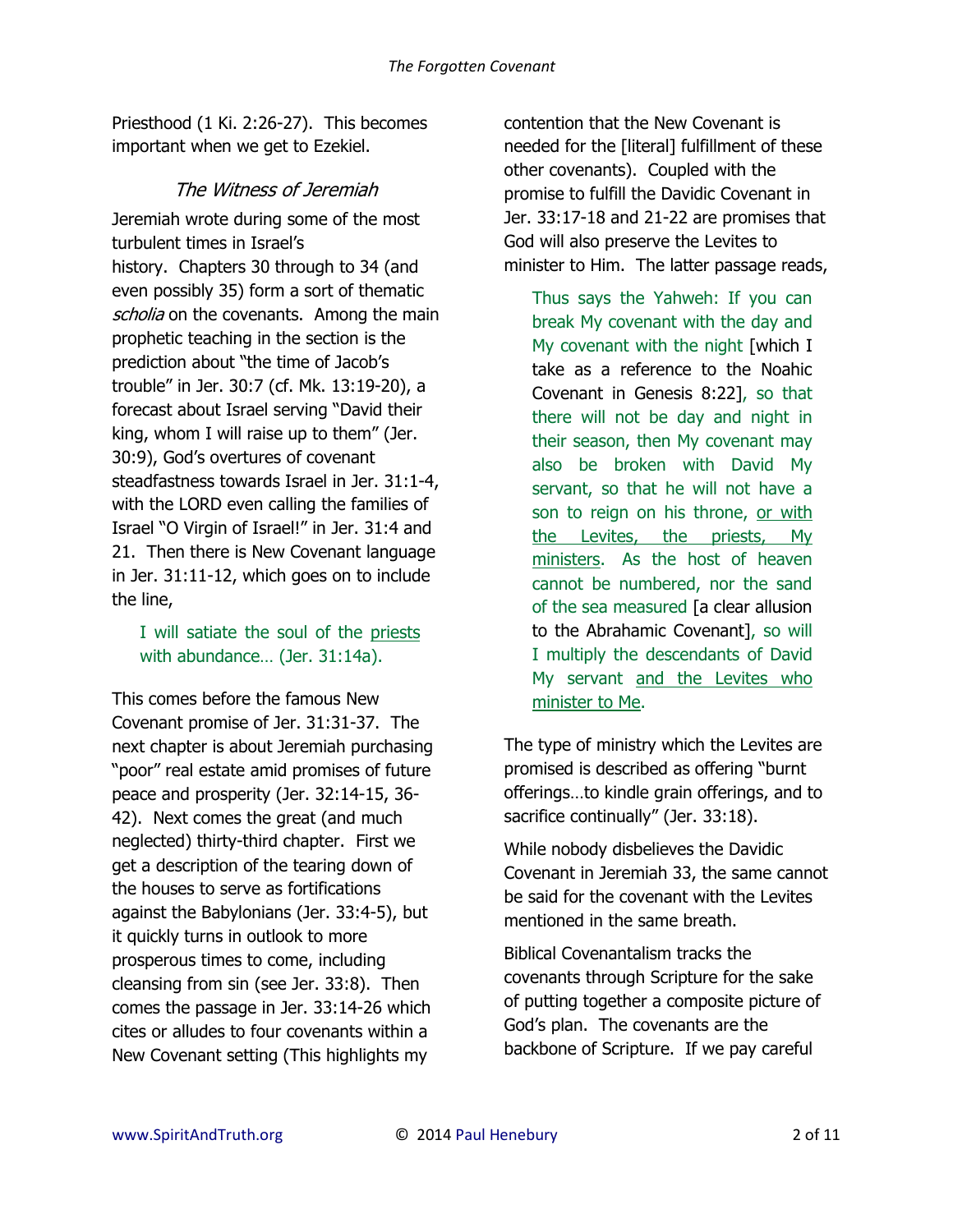Priesthood (1 Ki. 2:26-27). This becomes important when we get to Ezekiel.

#### The Witness of Jeremiah

Jeremiah wrote during some of the most turbulent times in Israel's history. Chapters 30 through to 34 (and even possibly 35) form a sort of thematic scholia on the covenants. Among the main prophetic teaching in the section is the prediction about "the time of Jacob's trouble" in Jer. 30:7 (cf. Mk. 13:19-20), a forecast about Israel serving "David their king, whom I will raise up to them" (Jer. 30:9), God's overtures of covenant steadfastness towards Israel in Jer. 31:1-4, with the LORD even calling the families of Israel "O Virgin of Israel!" in Jer. 31:4 and 21. Then there is New Covenant language in Jer. 31:11-12, which goes on to include the line,

#### I will satiate the soul of the priests with abundance… (Jer. 31:14a).

This comes before the famous New Covenant promise of Jer. 31:31-37. The next chapter is about Jeremiah purchasing "poor" real estate amid promises of future peace and prosperity (Jer. 32:14-15, 36- 42). Next comes the great (and much neglected) thirty-third chapter. First we get a description of the tearing down of the houses to serve as fortifications against the Babylonians (Jer. 33:4-5), but it quickly turns in outlook to more prosperous times to come, including cleansing from sin (see Jer. 33:8). Then comes the passage in Jer. 33:14-26 which cites or alludes to four covenants within a New Covenant setting (This highlights my

contention that the New Covenant is needed for the [literal] fulfillment of these other covenants). Coupled with the promise to fulfill the Davidic Covenant in Jer. 33:17-18 and 21-22 are promises that God will also preserve the Levites to minister to Him. The latter passage reads,

Thus says the Yahweh: If you can break My covenant with the day and My covenant with the night [which I] take as a reference to the Noahic Covenant in Genesis 8:22], so that there will not be day and night in their season, then My covenant may also be broken with David My servant, so that he will not have a son to reign on his throne, or with the Levites, the priests, My ministers. As the host of heaven cannot be numbered, nor the sand of the sea measured [a clear allusion to the Abrahamic Covenant], so will I multiply the descendants of David My servant and the Levites who minister to Me.

The type of ministry which the Levites are promised is described as offering "burnt offerings…to kindle grain offerings, and to sacrifice continually" (Jer. 33:18).

While nobody disbelieves the Davidic Covenant in Jeremiah 33, the same cannot be said for the covenant with the Levites mentioned in the same breath.

Biblical Covenantalism tracks the covenants through Scripture for the sake of putting together a composite picture of God's plan. The covenants are the backbone of Scripture. If we pay careful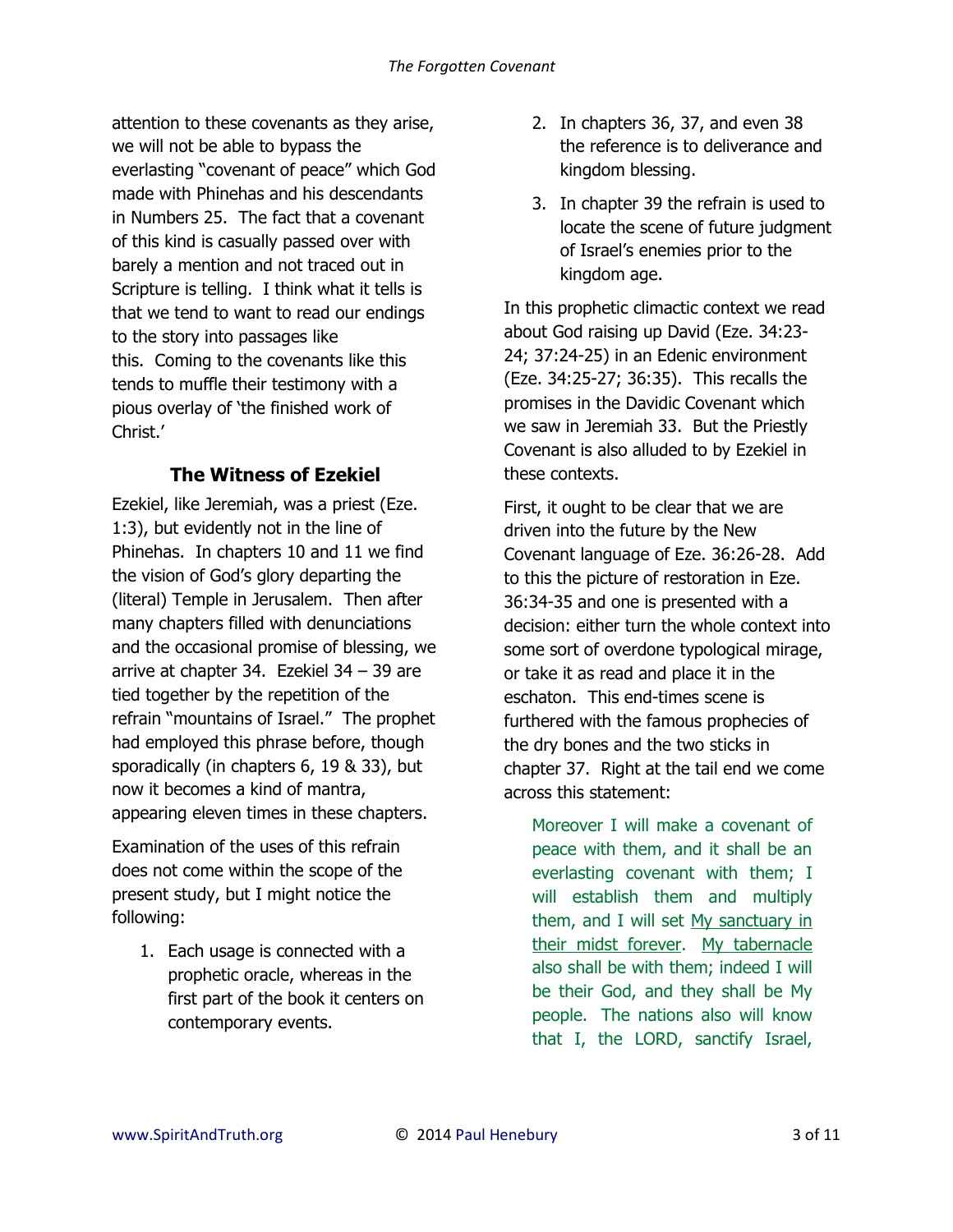attention to these covenants as they arise, we will not be able to bypass the everlasting "covenant of peace" which God made with Phinehas and his descendants in Numbers 25. The fact that a covenant of this kind is casually passed over with barely a mention and not traced out in Scripture is telling. I think what it tells is that we tend to want to read our endings to the story into passages like this. Coming to the covenants like this tends to muffle their testimony with a pious overlay of 'the finished work of Christ.'

## **The Witness of Ezekiel**

Ezekiel, like Jeremiah, was a priest (Eze. 1:3), but evidently not in the line of Phinehas. In chapters 10 and 11 we find the vision of God's glory departing the (literal) Temple in Jerusalem. Then after many chapters filled with denunciations and the occasional promise of blessing, we arrive at chapter 34. Ezekiel 34 – 39 are tied together by the repetition of the refrain "mountains of Israel." The prophet had employed this phrase before, though sporadically (in chapters 6, 19 & 33), but now it becomes a kind of mantra, appearing eleven times in these chapters.

Examination of the uses of this refrain does not come within the scope of the present study, but I might notice the following:

1. Each usage is connected with a prophetic oracle, whereas in the first part of the book it centers on contemporary events.

- 2. In chapters 36, 37, and even 38 the reference is to deliverance and kingdom blessing.
- 3. In chapter 39 the refrain is used to locate the scene of future judgment of Israel's enemies prior to the kingdom age.

In this prophetic climactic context we read about God raising up David (Eze. 34:23- 24; 37:24-25) in an Edenic environment (Eze. 34:25-27; 36:35). This recalls the promises in the Davidic Covenant which we saw in Jeremiah 33. But the Priestly Covenant is also alluded to by Ezekiel in these contexts.

First, it ought to be clear that we are driven into the future by the New Covenant language of Eze. 36:26-28. Add to this the picture of restoration in Eze. 36:34-35 and one is presented with a decision: either turn the whole context into some sort of overdone typological mirage, or take it as read and place it in the eschaton. This end-times scene is furthered with the famous prophecies of the dry bones and the two sticks in chapter 37. Right at the tail end we come across this statement:

Moreover I will make a covenant of peace with them, and it shall be an everlasting covenant with them; I will establish them and multiply them, and I will set My sanctuary in their midst forever. My tabernacle also shall be with them; indeed I will be their God, and they shall be My people. The nations also will know that I, the LORD, sanctify Israel,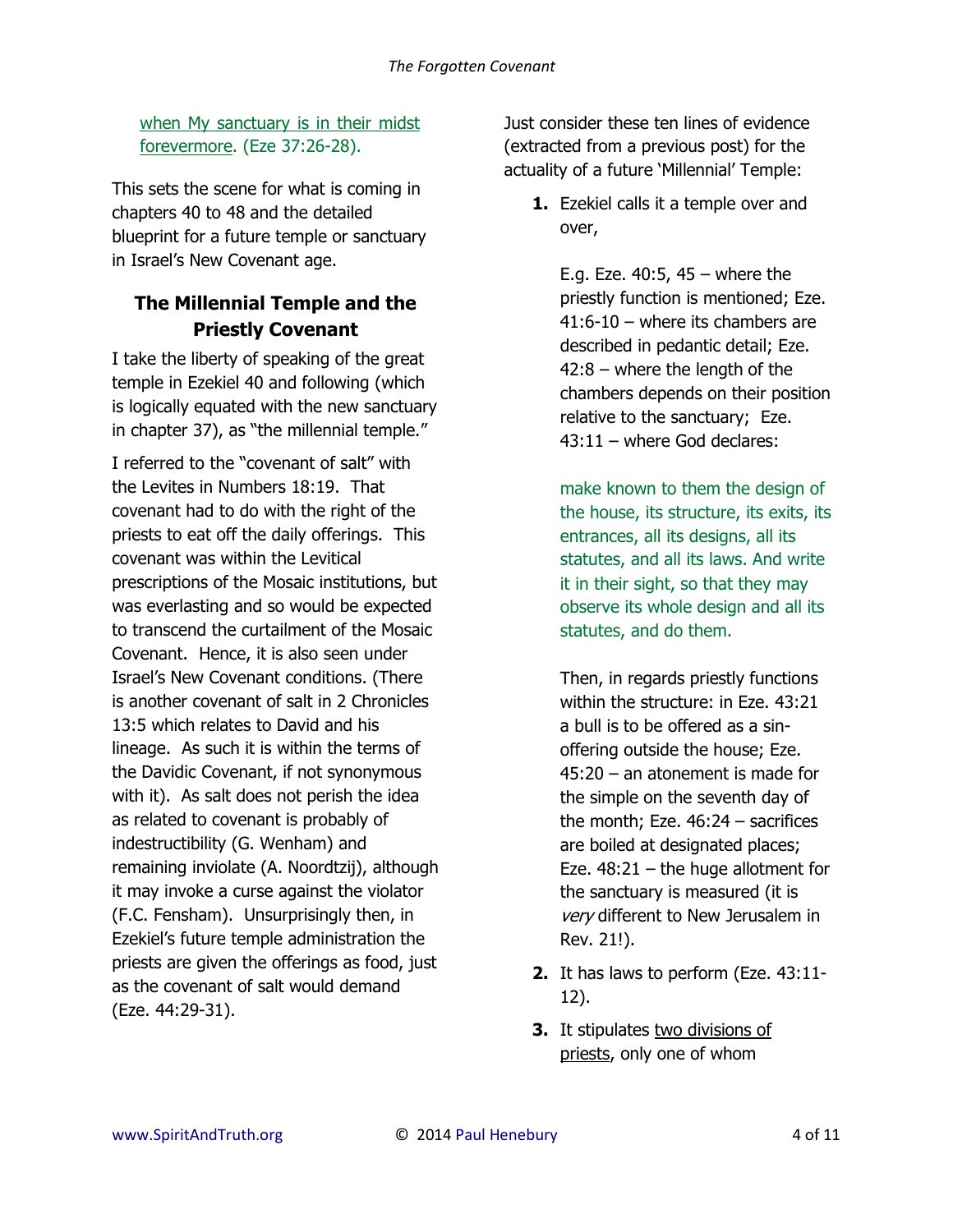when My sanctuary is in their midst forevermore. (Eze 37:26-28).

This sets the scene for what is coming in chapters 40 to 48 and the detailed blueprint for a future temple or sanctuary in Israel's New Covenant age.

## **The Millennial Temple and the Priestly Covenant**

I take the liberty of speaking of the great temple in Ezekiel 40 and following (which is logically equated with the new sanctuary in chapter 37), as "the millennial temple."

I referred to the "covenant of salt" with the Levites in Numbers 18:19. That covenant had to do with the right of the priests to eat off the daily offerings. This covenant was within the Levitical prescriptions of the Mosaic institutions, but was everlasting and so would be expected to transcend the curtailment of the Mosaic Covenant. Hence, it is also seen under Israel's New Covenant conditions. (There is another covenant of salt in 2 Chronicles 13:5 which relates to David and his lineage. As such it is within the terms of the Davidic Covenant, if not synonymous with it). As salt does not perish the idea as related to covenant is probably of indestructibility (G. Wenham) and remaining inviolate (A. Noordtzij), although it may invoke a curse against the violator (F.C. Fensham). Unsurprisingly then, in Ezekiel's future temple administration the priests are given the offerings as food, just as the covenant of salt would demand (Eze. 44:29-31).

Just consider these ten lines of evidence (extracted from a previous post) for the actuality of a future 'Millennial' Temple:

**1.** Ezekiel calls it a temple over and over,

E.g. Eze.  $40:5$ ,  $45 -$  where the priestly function is mentioned; Eze. 41:6-10 – where its chambers are described in pedantic detail; Eze. 42:8 – where the length of the chambers depends on their position relative to the sanctuary; Eze. 43:11 – where God declares:

make known to them the design of the house, its structure, its exits, its entrances, all its designs, all its statutes, and all its laws. And write it in their sight, so that they may observe its whole design and all its statutes, and do them.

Then, in regards priestly functions within the structure: in Eze. 43:21 a bull is to be offered as a sinoffering outside the house; Eze. 45:20 – an atonement is made for the simple on the seventh day of the month; Eze.  $46:24 -$  sacrifices are boiled at designated places; Eze.  $48:21 -$  the huge allotment for the sanctuary is measured (it is very different to New Jerusalem in Rev. 21!).

- **2.** It has laws to perform (Eze. 43:11- 12).
- **3.** It stipulates two divisions of priests, only one of whom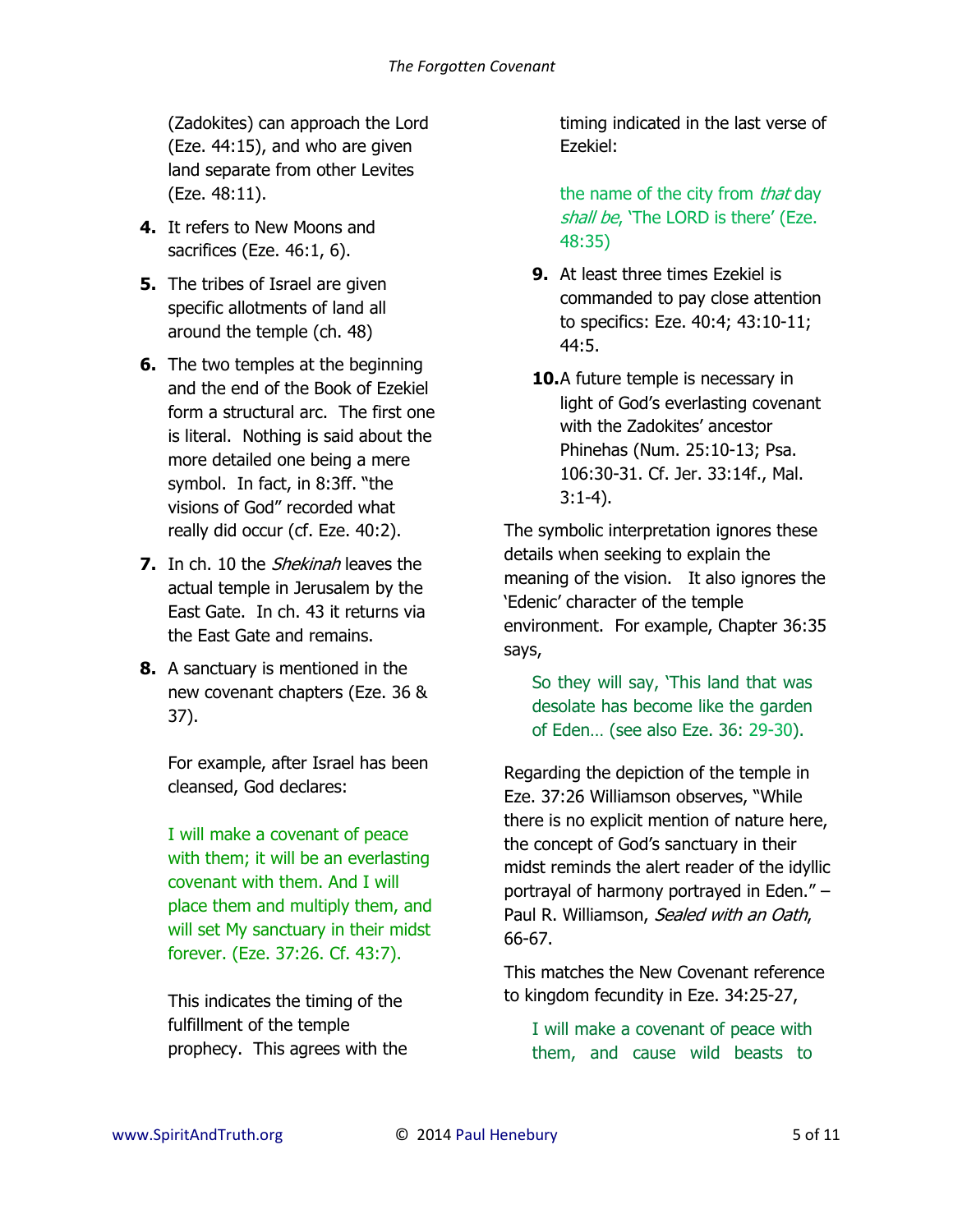(Zadokites) can approach the Lord (Eze. 44:15), and who are given land separate from other Levites (Eze. 48:11).

- **4.** It refers to New Moons and sacrifices (Eze. 46:1, 6).
- **5.** The tribes of Israel are given specific allotments of land all around the temple (ch. 48)
- **6.** The two temples at the beginning and the end of the Book of Ezekiel form a structural arc. The first one is literal. Nothing is said about the more detailed one being a mere symbol. In fact, in 8:3ff. "the visions of God" recorded what really did occur (cf. Eze. 40:2).
- **7.** In ch. 10 the *Shekinah* leaves the actual temple in Jerusalem by the East Gate. In ch. 43 it returns via the East Gate and remains.
- **8.** A sanctuary is mentioned in the new covenant chapters (Eze. 36 & 37).

For example, after Israel has been cleansed, God declares:

I will make a covenant of peace with them; it will be an everlasting covenant with them. And I will place them and multiply them, and will set My sanctuary in their midst forever. (Eze. 37:26. Cf. 43:7).

This indicates the timing of the fulfillment of the temple prophecy. This agrees with the timing indicated in the last verse of Ezekiel:

the name of the city from *that* day shall be, 'The LORD is there' (Eze. 48:35)

- **9.** At least three times Ezekiel is commanded to pay close attention to specifics: Eze. 40:4; 43:10-11; 44:5.
- **10.**A future temple is necessary in light of God's everlasting covenant with the Zadokites' ancestor Phinehas (Num. 25:10-13; Psa. 106:30-31. Cf. Jer. 33:14f., Mal. 3:1-4).

The symbolic interpretation ignores these details when seeking to explain the meaning of the vision. It also ignores the 'Edenic' character of the temple environment. For example, Chapter 36:35 says,

So they will say, 'This land that was desolate has become like the garden of Eden… (see also Eze. 36: 29-30).

Regarding the depiction of the temple in Eze. 37:26 Williamson observes, "While there is no explicit mention of nature here, the concept of God's sanctuary in their midst reminds the alert reader of the idyllic portrayal of harmony portrayed in Eden." – Paul R. Williamson, Sealed with an Oath, 66-67.

This matches the New Covenant reference to kingdom fecundity in Eze. 34:25-27,

I will make a covenant of peace with them, and cause wild beasts to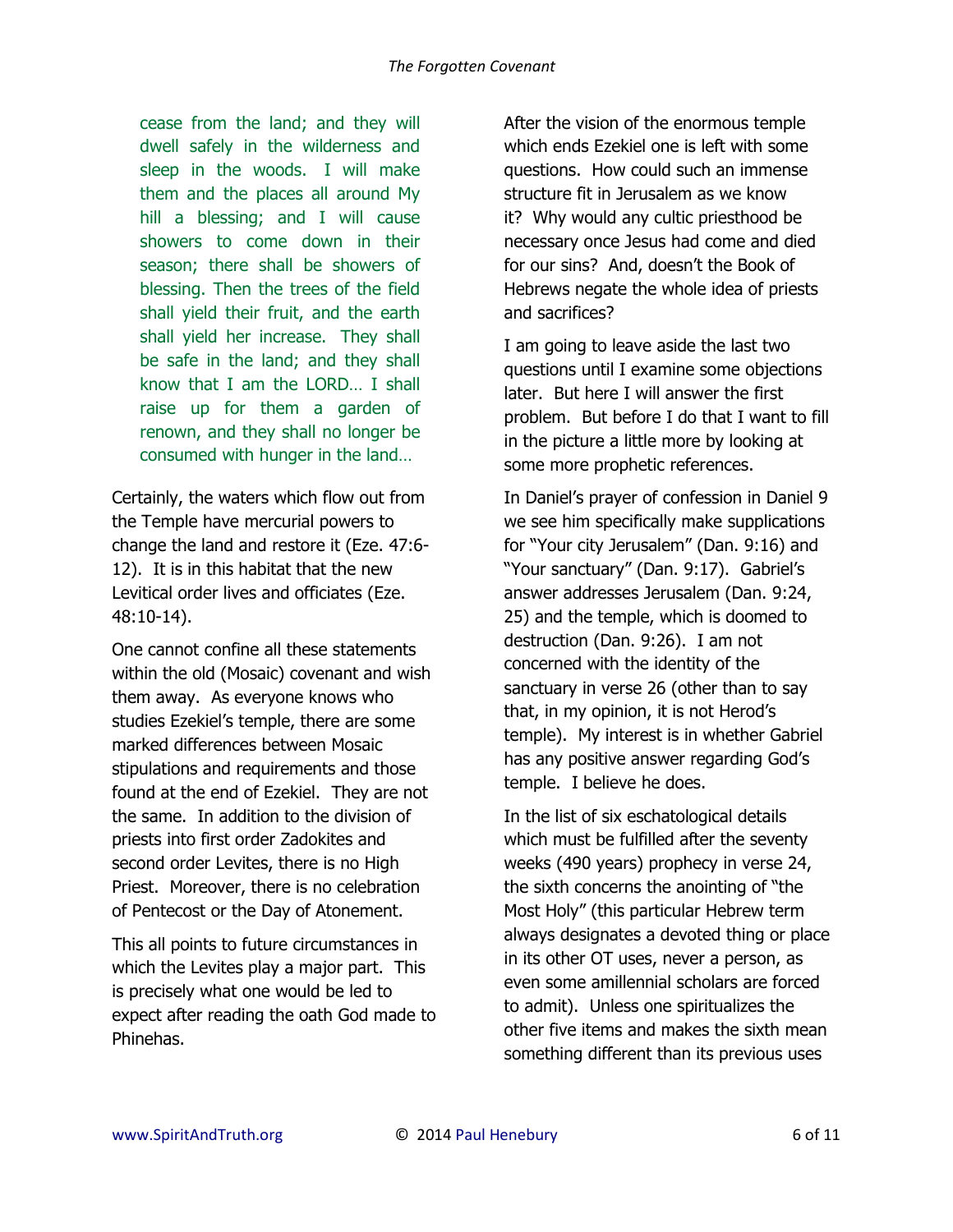cease from the land; and they will dwell safely in the wilderness and sleep in the woods. I will make them and the places all around My hill a blessing; and I will cause showers to come down in their season; there shall be showers of blessing. Then the trees of the field shall yield their fruit, and the earth shall yield her increase. They shall be safe in the land; and they shall know that I am the LORD… I shall raise up for them a garden of renown, and they shall no longer be consumed with hunger in the land…

Certainly, the waters which flow out from the Temple have mercurial powers to change the land and restore it (Eze. 47:6- 12). It is in this habitat that the new Levitical order lives and officiates (Eze. 48:10-14).

One cannot confine all these statements within the old (Mosaic) covenant and wish them away. As everyone knows who studies Ezekiel's temple, there are some marked differences between Mosaic stipulations and requirements and those found at the end of Ezekiel. They are not the same. In addition to the division of priests into first order Zadokites and second order Levites, there is no High Priest. Moreover, there is no celebration of Pentecost or the Day of Atonement.

This all points to future circumstances in which the Levites play a major part. This is precisely what one would be led to expect after reading the oath God made to Phinehas.

After the vision of the enormous temple which ends Ezekiel one is left with some questions. How could such an immense structure fit in Jerusalem as we know it? Why would any cultic priesthood be necessary once Jesus had come and died for our sins? And, doesn't the Book of Hebrews negate the whole idea of priests and sacrifices?

I am going to leave aside the last two questions until I examine some objections later. But here I will answer the first problem. But before I do that I want to fill in the picture a little more by looking at some more prophetic references.

In Daniel's prayer of confession in Daniel 9 we see him specifically make supplications for "Your city Jerusalem" (Dan. 9:16) and "Your sanctuary" (Dan. 9:17). Gabriel's answer addresses Jerusalem (Dan. 9:24, 25) and the temple, which is doomed to destruction (Dan. 9:26). I am not concerned with the identity of the sanctuary in verse 26 (other than to say that, in my opinion, it is not Herod's temple). My interest is in whether Gabriel has any positive answer regarding God's temple. I believe he does.

In the list of six eschatological details which must be fulfilled after the seventy weeks (490 years) prophecy in verse 24, the sixth concerns the anointing of "the Most Holy" (this particular Hebrew term always designates a devoted thing or place in its other OT uses, never a person, as even some amillennial scholars are forced to admit). Unless one spiritualizes the other five items and makes the sixth mean something different than its previous uses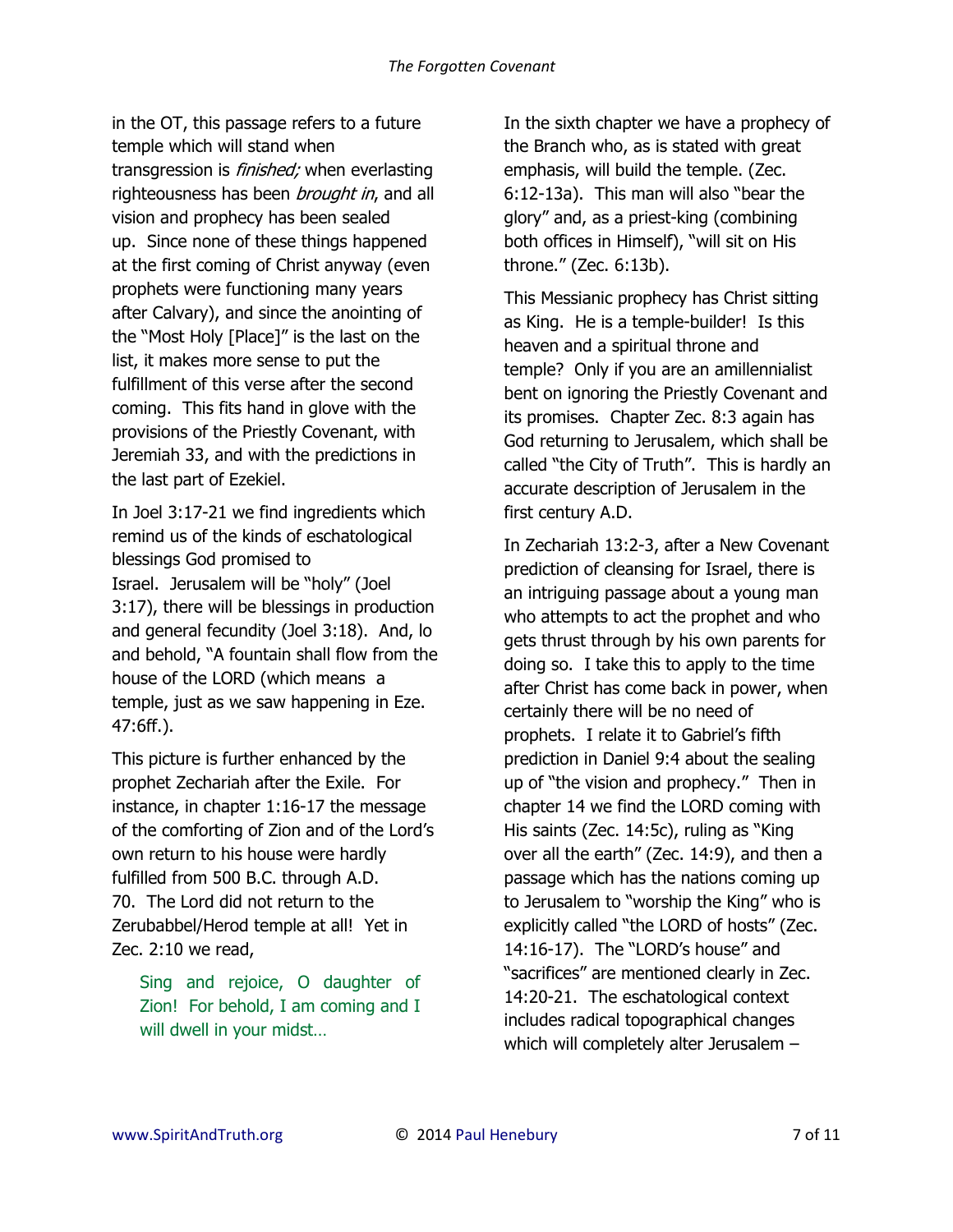in the OT, this passage refers to a future temple which will stand when transgression is *finished;* when everlasting righteousness has been *brought in*, and all vision and prophecy has been sealed up. Since none of these things happened at the first coming of Christ anyway (even prophets were functioning many years after Calvary), and since the anointing of the "Most Holy [Place]" is the last on the list, it makes more sense to put the fulfillment of this verse after the second coming. This fits hand in glove with the provisions of the Priestly Covenant, with Jeremiah 33, and with the predictions in the last part of Ezekiel.

In Joel 3:17-21 we find ingredients which remind us of the kinds of eschatological blessings God promised to Israel. Jerusalem will be "holy" (Joel 3:17), there will be blessings in production and general fecundity (Joel 3:18). And, lo and behold, "A fountain shall flow from the house of the LORD (which means a temple, just as we saw happening in Eze. 47:6ff.).

This picture is further enhanced by the prophet Zechariah after the Exile. For instance, in chapter 1:16-17 the message of the comforting of Zion and of the Lord's own return to his house were hardly fulfilled from 500 B.C. through A.D. 70. The Lord did not return to the Zerubabbel/Herod temple at all! Yet in Zec. 2:10 we read,

Sing and rejoice, O daughter of Zion! For behold, I am coming and I will dwell in your midst…

In the sixth chapter we have a prophecy of the Branch who, as is stated with great emphasis, will build the temple. (Zec. 6:12-13a). This man will also "bear the glory" and, as a priest-king (combining both offices in Himself), "will sit on His throne." (Zec. 6:13b).

This Messianic prophecy has Christ sitting as King. He is a temple-builder! Is this heaven and a spiritual throne and temple? Only if you are an amillennialist bent on ignoring the Priestly Covenant and its promises. Chapter Zec. 8:3 again has God returning to Jerusalem, which shall be called "the City of Truth". This is hardly an accurate description of Jerusalem in the first century A.D.

In Zechariah 13:2-3, after a New Covenant prediction of cleansing for Israel, there is an intriguing passage about a young man who attempts to act the prophet and who gets thrust through by his own parents for doing so. I take this to apply to the time after Christ has come back in power, when certainly there will be no need of prophets. I relate it to Gabriel's fifth prediction in Daniel 9:4 about the sealing up of "the vision and prophecy." Then in chapter 14 we find the LORD coming with His saints (Zec. 14:5c), ruling as "King over all the earth" (Zec. 14:9), and then a passage which has the nations coming up to Jerusalem to "worship the King" who is explicitly called "the LORD of hosts" (Zec. 14:16-17). The "LORD's house" and "sacrifices" are mentioned clearly in Zec. 14:20-21. The eschatological context includes radical topographical changes which will completely alter Jerusalem -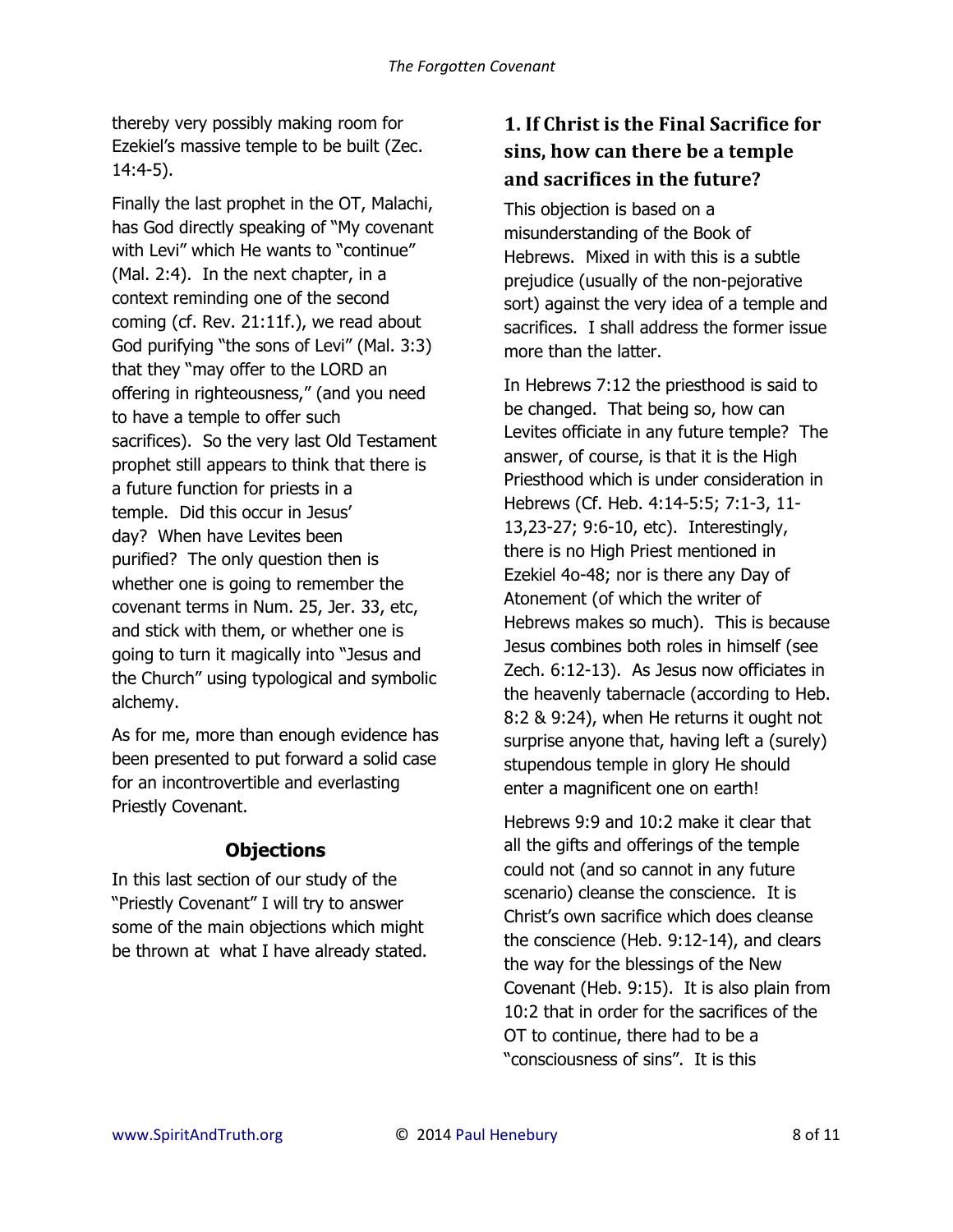thereby very possibly making room for Ezekiel's massive temple to be built (Zec. 14:4-5).

Finally the last prophet in the OT, Malachi, has God directly speaking of "My covenant with Levi" which He wants to "continue" (Mal. 2:4). In the next chapter, in a context reminding one of the second coming (cf. Rev. 21:11f.), we read about God purifying "the sons of Levi" (Mal. 3:3) that they "may offer to the LORD an offering in righteousness," (and you need to have a temple to offer such sacrifices). So the very last Old Testament prophet still appears to think that there is a future function for priests in a temple. Did this occur in Jesus' day? When have Levites been purified? The only question then is whether one is going to remember the covenant terms in Num. 25, Jer. 33, etc, and stick with them, or whether one is going to turn it magically into "Jesus and the Church" using typological and symbolic alchemy.

As for me, more than enough evidence has been presented to put forward a solid case for an incontrovertible and everlasting Priestly Covenant.

### **Objections**

In this last section of our study of the "Priestly Covenant" I will try to answer some of the main objections which might be thrown at what I have already stated.

## **1. If Christ is the Final Sacrifice for sins, how can there be a temple and sacrifices in the future?**

This objection is based on a misunderstanding of the Book of Hebrews. Mixed in with this is a subtle prejudice (usually of the non-pejorative sort) against the very idea of a temple and sacrifices. I shall address the former issue more than the latter.

In Hebrews 7:12 the priesthood is said to be changed. That being so, how can Levites officiate in any future temple? The answer, of course, is that it is the High Priesthood which is under consideration in Hebrews (Cf. Heb. 4:14-5:5; 7:1-3, 11- 13,23-27; 9:6-10, etc). Interestingly, there is no High Priest mentioned in Ezekiel 4o-48; nor is there any Day of Atonement (of which the writer of Hebrews makes so much). This is because Jesus combines both roles in himself (see Zech. 6:12-13). As Jesus now officiates in the heavenly tabernacle (according to Heb. 8:2 & 9:24), when He returns it ought not surprise anyone that, having left a (surely) stupendous temple in glory He should enter a magnificent one on earth!

Hebrews 9:9 and 10:2 make it clear that all the gifts and offerings of the temple could not (and so cannot in any future scenario) cleanse the conscience. It is Christ's own sacrifice which does cleanse the conscience (Heb. 9:12-14), and clears the way for the blessings of the New Covenant (Heb. 9:15). It is also plain from 10:2 that in order for the sacrifices of the OT to continue, there had to be a "consciousness of sins". It is this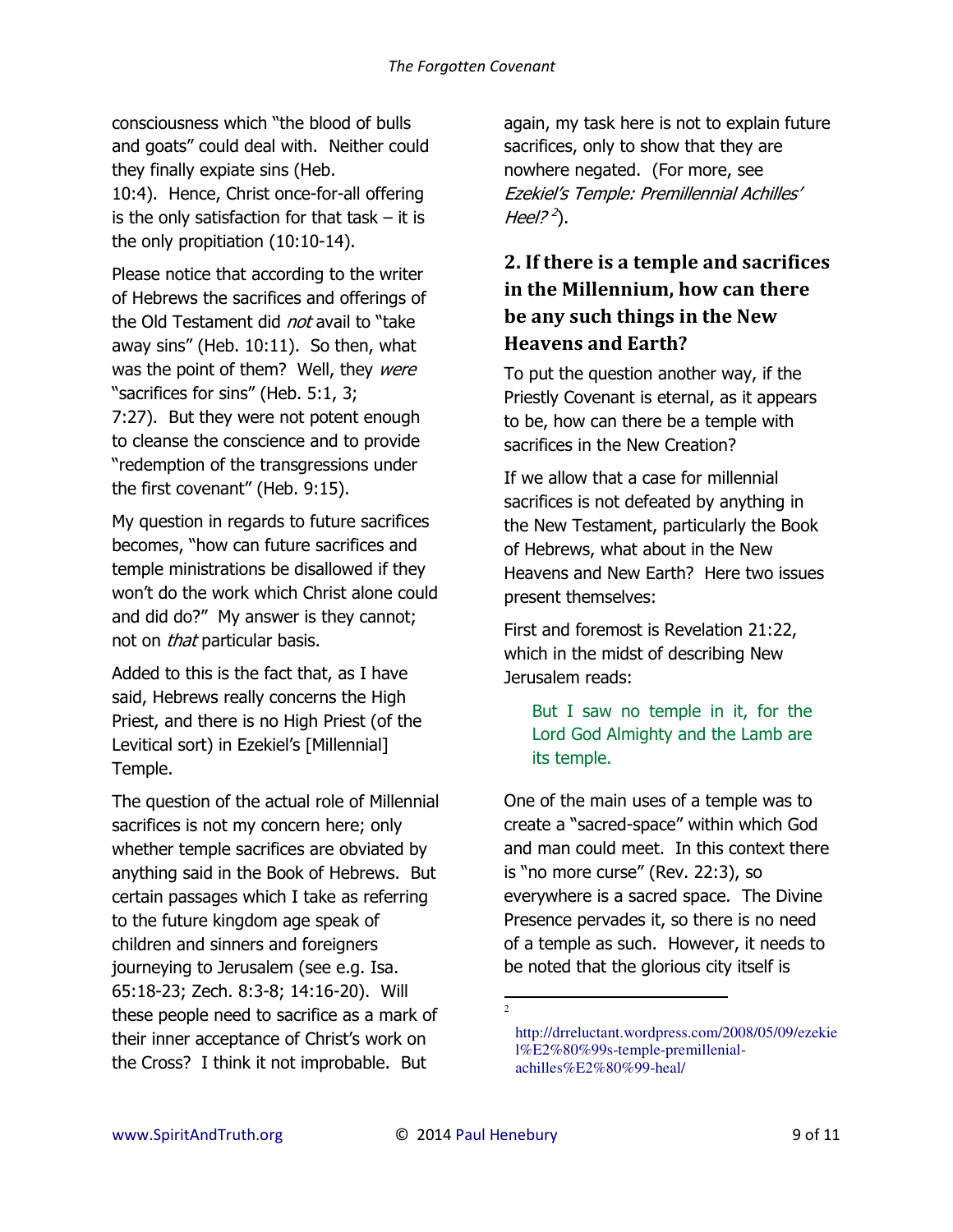consciousness which "the blood of bulls and goats" could deal with. Neither could they finally expiate sins (Heb.

10:4). Hence, Christ once-for-all offering is the only satisfaction for that task  $-$  it is the only propitiation (10:10-14).

Please notice that according to the writer of Hebrews the sacrifices and offerings of the Old Testament did *not* avail to "take away sins" (Heb. 10:11). So then, what was the point of them? Well, they were "sacrifices for sins" (Heb. 5:1, 3; 7:27). But they were not potent enough to cleanse the conscience and to provide "redemption of the transgressions under the first covenant" (Heb. 9:15).

My question in regards to future sacrifices becomes, "how can future sacrifices and temple ministrations be disallowed if they won't do the work which Christ alone could and did do?" My answer is they cannot; not on *that* particular basis.

Added to this is the fact that, as I have said, Hebrews really concerns the High Priest, and there is no High Priest (of the Levitical sort) in Ezekiel's [Millennial] Temple.

The question of the actual role of Millennial sacrifices is not my concern here; only whether temple sacrifices are obviated by anything said in the Book of Hebrews. But certain passages which I take as referring to the future kingdom age speak of children and sinners and foreigners journeying to Jerusalem (see e.g. Isa. 65:18-23; Zech. 8:3-8; 14:16-20). Will these people need to sacrifice as a mark of their inner acceptance of Christ's work on the Cross? I think it not improbable. But

again, my task here is not to explain future sacrifices, only to show that they are nowhere negated. (For more, see Ezekiel's Temple: Premillennial Achilles' Heel?<sup>2</sup>).

# **2. If there is a temple and sacrifices in the Millennium, how can there be any such things in the New Heavens and Earth?**

To put the question another way, if the Priestly Covenant is eternal, as it appears to be, how can there be a temple with sacrifices in the New Creation?

If we allow that a case for millennial sacrifices is not defeated by anything in the New Testament, particularly the Book of Hebrews, what about in the New Heavens and New Earth? Here two issues present themselves:

First and foremost is Revelation 21:22, which in the midst of describing New Jerusalem reads:

But I saw no temple in it, for the Lord God Almighty and the Lamb are its temple.

One of the main uses of a temple was to create a "sacred-space" within which God and man could meet. In this context there is "no more curse" (Rev. 22:3), so everywhere is a sacred space. The Divine Presence pervades it, so there is no need of a temple as such. However, it needs to be noted that the glorious city itself is

 $\overline{a}$ 2

[http://drreluctant.wordpress.com/2008/05/09/ezekie](http://drreluctant.wordpress.com/2008/05/09/ezekiel%E2%80%99s-temple-premillenial-achilles%E2%80%99-heal/) [l%E2%80%99s-temple-premillenial](http://drreluctant.wordpress.com/2008/05/09/ezekiel%E2%80%99s-temple-premillenial-achilles%E2%80%99-heal/)[achilles%E2%80%99-heal/](http://drreluctant.wordpress.com/2008/05/09/ezekiel%E2%80%99s-temple-premillenial-achilles%E2%80%99-heal/)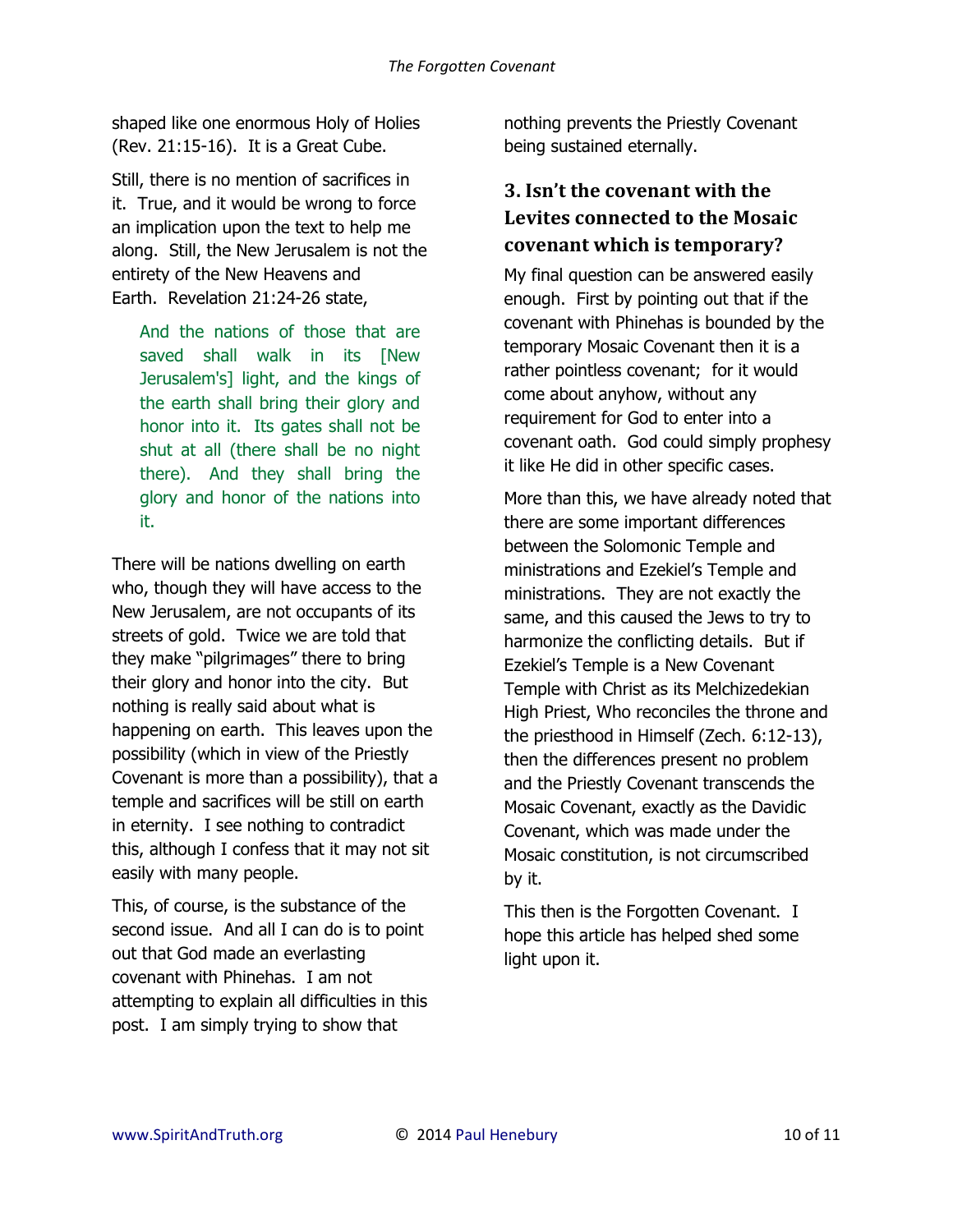shaped like one enormous Holy of Holies (Rev. 21:15-16). It is a Great Cube.

Still, there is no mention of sacrifices in it. True, and it would be wrong to force an implication upon the text to help me along. Still, the New Jerusalem is not the entirety of the New Heavens and Earth. Revelation 21:24-26 state,

And the nations of those that are saved shall walk in its [New Jerusalem's] light, and the kings of the earth shall bring their glory and honor into it. Its gates shall not be shut at all (there shall be no night there). And they shall bring the glory and honor of the nations into it.

There will be nations dwelling on earth who, though they will have access to the New Jerusalem, are not occupants of its streets of gold. Twice we are told that they make "pilgrimages" there to bring their glory and honor into the city. But nothing is really said about what is happening on earth. This leaves upon the possibility (which in view of the Priestly Covenant is more than a possibility), that a temple and sacrifices will be still on earth in eternity. I see nothing to contradict this, although I confess that it may not sit easily with many people.

This, of course, is the substance of the second issue. And all I can do is to point out that God made an everlasting covenant with Phinehas. I am not attempting to explain all difficulties in this post. I am simply trying to show that

nothing prevents the Priestly Covenant being sustained eternally.

# **3. Isn't the covenant with the Levites connected to the Mosaic covenant which is temporary?**

My final question can be answered easily enough. First by pointing out that if the covenant with Phinehas is bounded by the temporary Mosaic Covenant then it is a rather pointless covenant; for it would come about anyhow, without any requirement for God to enter into a covenant oath. God could simply prophesy it like He did in other specific cases.

More than this, we have already noted that there are some important differences between the Solomonic Temple and ministrations and Ezekiel's Temple and ministrations. They are not exactly the same, and this caused the Jews to try to harmonize the conflicting details. But if Ezekiel's Temple is a New Covenant Temple with Christ as its Melchizedekian High Priest, Who reconciles the throne and the priesthood in Himself (Zech. 6:12-13), then the differences present no problem and the Priestly Covenant transcends the Mosaic Covenant, exactly as the Davidic Covenant, which was made under the Mosaic constitution, is not circumscribed by it.

This then is the Forgotten Covenant. I hope this article has helped shed some light upon it.